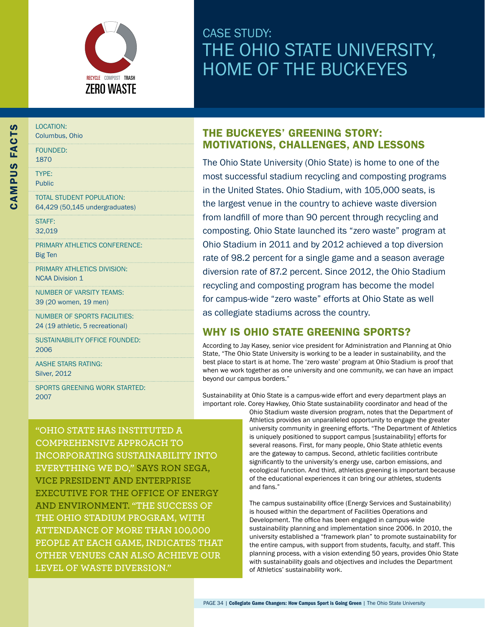

# CASE STUDY: THE OHIO STATE UNIVERSITY, Home of the Buckeyes

| J                              | <b>LOCATION:</b><br>Columbus, Ohio                                 |
|--------------------------------|--------------------------------------------------------------------|
| -<br>C<br>י<br>כ<br>」<br>「ミーマ」 | <b>FOUNDED:</b><br>1870                                            |
|                                | TYPF:<br><b>Public</b>                                             |
|                                | <b>TOTAL STUDENT POPULATION:</b><br>64,429 (50,145 undergraduates) |
|                                | <b>STAFF:</b><br>32.019                                            |
|                                | PRIMARY ATHLETICS CONFERENCE:<br><b>Big Ten</b>                    |
|                                | PRIMARY ATHLETICS DIVISION:<br><b>NCAA Division 1</b>              |

Number of Varsity Teams: 39 (20 women, 19 men)

Number of Sports Facilities: 24 (19 athletic, 5 recreational)

Sustainability Office Founded: 2006

AASHE STARS Rating: Silver, 2012

Sports Greening Work Started: 2007

# THE BUCKEYES' GREENING STORY: MOTIVATIONS, CHALLENGES, AND LESSONS

The Ohio State University (Ohio State) is home to one of the most successful stadium recycling and composting programs in the United States. Ohio Stadium, with 105,000 seats, is the largest venue in the country to achieve waste diversion from landfill of more than 90 percent through recycling and composting. Ohio State launched its "zero waste" program at Ohio Stadium in 2011 and by 2012 achieved a top diversion rate of 98.2 percent for a single game and a season average diversion rate of 87.2 percent. Since 2012, the Ohio Stadium recycling and composting program has become the model for campus-wide "zero waste" efforts at Ohio State as well as collegiate stadiums across the country.

# WHY IS OHIO STATE GREENING SPORTS?

According to Jay Kasey, senior vice president for Administration and Planning at Ohio State, "The Ohio State University is working to be a leader in sustainability, and the best place to start is at home. The 'zero waste' program at Ohio Stadium is proof that when we work together as one university and one community, we can have an impact beyond our campus borders."

Sustainability at Ohio State is a campus-wide effort and every department plays an important role. Corey Hawkey, Ohio State sustainability coordinator and head of the

**"Ohio State has instituted a comprehensive approach to incorporating sustainability into everything we do," says Ron Sega, Vice President and Enterprise Executive for The Office of Energy and Environment. "The success of the Ohio Stadium program, with attendance of more than 100,000 people at each game, indicates that other venues can also achieve our level of waste diversion."**

Ohio Stadium waste diversion program, notes that the Department of Athletics provides an unparalleled opportunity to engage the greater university community in greening efforts. "The Department of Athletics is uniquely positioned to support campus [sustainability] efforts for several reasons. First, for many people, Ohio State athletic events are the gateway to campus. Second, athletic facilities contribute significantly to the university's energy use, carbon emissions, and ecological function. And third, athletics greening is important because of the educational experiences it can bring our athletes, students and fans."

The campus sustainability office (Energy Services and Sustainability) is housed within the department of Facilities Operations and Development. The office has been engaged in campus-wide sustainability planning and implementation since 2006. In 2010, the university established a "framework plan" to promote sustainability for the entire campus, with support from students, faculty, and staff. This planning process, with a vision extending 50 years, provides Ohio State with sustainability goals and objectives and includes the Department of Athletics' sustainability work.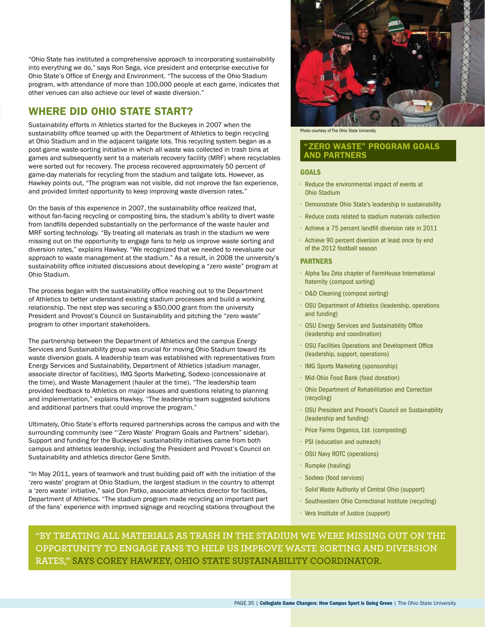"Ohio State has instituted a comprehensive approach to incorporating sustainability<br>into everything we do," says Ron Sega, vice president and enterprise executive for<br>Ohio State's Office of Energy and Environment. "The suc into everything we do," says Ron Sega, vice president and enterprise executive for Ohio State's Office of Energy and Environment. "The success of the Ohio Stadium program, with attendance of more than 100,000 people at each game, indicates that other venues can also achieve our level of waste diversion."

# WHERE DID OHIO STATE START?

Sustainability efforts in Athletics started for the Buckeyes in 2007 when the sustainability office teamed up with the Department of Athletics to begin recycling at Ohio Stadium and in the adjacent tailgate lots. This recycling system began as a post-game waste-sorting initiative in which all waste was collected in trash bins at games and subsequently sent to a materials recovery facility (MRF) where recyclables were sorted out for recovery. The process recovered approximately 50 percent of game-day materials for recycling from the stadium and tailgate lots. However, as Hawkey points out, "The program was not visible, did not improve the fan experience, and provided limited opportunity to keep improving waste diversion rates."

On the basis of this experience in 2007, the sustainability office realized that, without fan-facing recycling or composting bins, the stadium's ability to divert waste from landfills depended substantially on the performance of the waste hauler and MRF sorting technology. "By treating all materials as trash in the stadium we were missing out on the opportunity to engage fans to help us improve waste sorting and diversion rates," explains Hawkey. "We recognized that we needed to reevaluate our approach to waste management at the stadium." As a result, in 2008 the university's sustainability office initiated discussions about developing a "zero waste" program at Ohio Stadium.

The process began with the sustainability office reaching out to the Department of Athletics to better understand existing stadium processes and build a working relationship. The next step was securing a \$50,000 grant from the university President and Provost's Council on Sustainability and pitching the "zero waste" program to other important stakeholders.

The partnership between the Department of Athletics and the campus Energy Services and Sustainability group was crucial for moving Ohio Stadium toward its waste diversion goals. A leadership team was established with representatives from Energy Services and Sustainability, Department of Athletics (stadium manager, associate director of facilities), IMG Sports Marketing, Sodexo (concessionaire at the time), and Waste Management (hauler at the time). "The leadership team provided feedback to Athletics on major issues and questions relating to planning and implementation," explains Hawkey. "The leadership team suggested solutions and additional partners that could improve the program."

Ultimately, Ohio State's efforts required partnerships across the campus and with the surrounding community (see "'Zero Waste' Program Goals and Partners" sidebar). Support and funding for the Buckeyes' sustainability initiatives came from both campus and athletics leadership, including the President and Provost's Council on Sustainability and athletics director Gene Smith.

"In May 2011, years of teamwork and trust building paid off with the initiation of the 'zero waste' program at Ohio Stadium, the largest stadium in the country to attempt a 'zero waste' initiative," said Don Patko, associate athletics director for facilities, Department of Athletics. "The stadium program made recycling an important part of the fans' experience with improved signage and recycling stations throughout the



Photo courtesy of The Ohio State University.

# "Zero Waste" Program Goals and Partners

# **GOALS**

- $\cdot$  Reduce the environmental impact of events at Ohio Stadium
- • Demonstrate Ohio State's leadership in sustainability
- $\cdot$  Reduce costs related to stadium materials collection
- $\cdot$  Achieve a 75 percent landfill diversion rate in 2011
- • Achieve 90 percent diversion at least once by end of the 2012 football season

#### **PARTNERS**

- • Alpha Tau Zeta chapter of FarmHouse International fraternity (compost sorting)
- • D&D Cleaning (compost sorting)
- • OSU Department of Athletics (leadership, operations and funding)
- • OSU Energy Services and Sustainability Office (leadership and coordination)
- • OSU Facilities Operations and Development Office (leadership, support, operations)
- • IMG Sports Marketing (sponsorship)
- • Mid-Ohio Food Bank (food donation)
- • Ohio Department of Rehabilitation and Correction (recycling)
- • OSU President and Provost's Council on Sustainability (leadership and funding)
- Price Farms Organics, Ltd. (composting)
- $\cdot$  PSI (education and outreach)
- • OSU Navy ROTC (operations)
- $·$  Rumpke (hauling)
- • Sodexo (food services)
- • Solid Waste Authority of Central Ohio (support)
- Southeastern Ohio Correctional Institute (recycling)
- • Vera Institute of Justice (support)

**"By treating all materials as trash in the stadium we were missing out on the opportunity to engage fans to help us improve waste sorting and diversion rates," says Corey Hawkey, Ohio State sustainability coordinator.**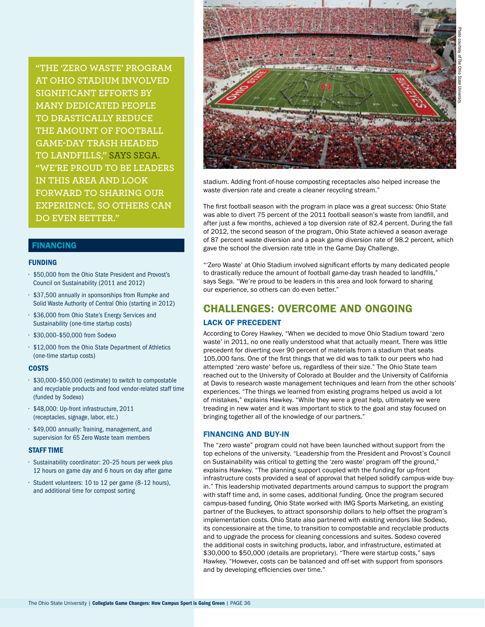**"The 'Zero Waste' Program at Ohio Stadium involved significant efforts by many dedicated people to drastically reduce the amount of football game-day trash headed to landfills," says Sega. "We're proud to be leaders in this area and look forward to sharing our experience, so others can do even better."**

# **FINANCING**

#### **FUNDING**

- • \$50,000 from the Ohio State President and Provost's Council on Sustainability (2011 and 2012)
- • \$37,500 annually in sponsorships from Rumpke and Solid Waste Authority of Central Ohio (starting in 2012)
- • \$36,000 from Ohio State's Energy Services and Sustainability (one-time startup costs)
- • \$30,000–\$50,000 from Sodexo
- • \$12,000 from the Ohio State Department of Athletics (one-time startup costs)

#### **COSTS**

- • \$30,000–\$50,000 (estimate) to switch to compostable and recyclable products and food vendor-related staff time (funded by Sodexo)
- • \$48,000: Up-front infrastructure, 2011 (receptacles, signage, labor, etc.)
- • \$49,000 annually: Training, management, and supervision for 65 Zero Waste team members

#### **STAFF TIME**

- • Sustainability coordinator: 20–25 hours per week plus 12 hours on game day and 6 hours on day after game
- • Student volunteers: 10 to 12 per game (8–12 hours), and additional time for compost sorting



stadium. Adding front-of-house composting receptacles also helped increase the waste diversion rate and create a cleaner recycling stream."

The first football season with the program in place was a great success: Ohio State was able to divert 75 percent of the 2011 football season's waste from landfill, and after just a few months, achieved a top diversion rate of 82.4 percent. During the fall of 2012, the second season of the program, Ohio State achieved a season average of 87 percent waste diversion and a peak game diversion rate of 98.2 percent, which gave the school the diversion rate title in the Game Day Challenge.

"'Zero Waste' at Ohio Stadium involved significant efforts by many dedicated people to drastically reduce the amount of football game-day trash headed to landfills," says Sega. "We're proud to be leaders in this area and look forward to sharing our experience, so others can do even better."

# CHALLENGES: OVERCOME AND ONGOING

#### Lack of Precedent

According to Corey Hawkey, "When we decided to move Ohio Stadium toward 'zero waste' in 2011, no one really understood what that actually meant. There was little precedent for diverting over 90 percent of materials from a stadium that seats 105,000 fans. One of the first things that we did was to talk to our peers who had attempted 'zero waste' before us, regardless of their size." The Ohio State team reached out to the University of Colorado at Boulder and the University of California at Davis to research waste management techniques and learn from the other schools' experiences. "The things we learned from existing programs helped us avoid a lot of mistakes," explains Hawkey. "While they were a great help, ultimately we were treading in new water and it was important to stick to the goal and stay focused on bringing together all of the knowledge of our partners."

#### Financing and Buy-in

The "zero waste" program could not have been launched without support from the top echelons of the university. "Leadership from the President and Provost's Council on Sustainability was critical to getting the 'zero waste' program off the ground," explains Hawkey. "The planning support coupled with the funding for up-front infrastructure costs provided a seal of approval that helped solidify campus-wide buyin." This leadership motivated departments around campus to support the program with staff time and, in some cases, additional funding. Once the program secured campus-based funding, Ohio State worked with IMG Sports Marketing, an existing partner of the Buckeyes, to attract sponsorship dollars to help offset the program's implementation costs. Ohio State also partnered with existing vendors like Sodexo, its concessionaire at the time, to transition to compostable and recyclable products and to upgrade the process for cleaning concessions and suites. Sodexo covered the additional costs in switching products, labor, and infrastructure, estimated at \$30,000 to \$50,000 (details are proprietary). "There were startup costs," says Hawkey. "However, costs can be balanced and off-set with support from sponsors and by developing efficiencies over time."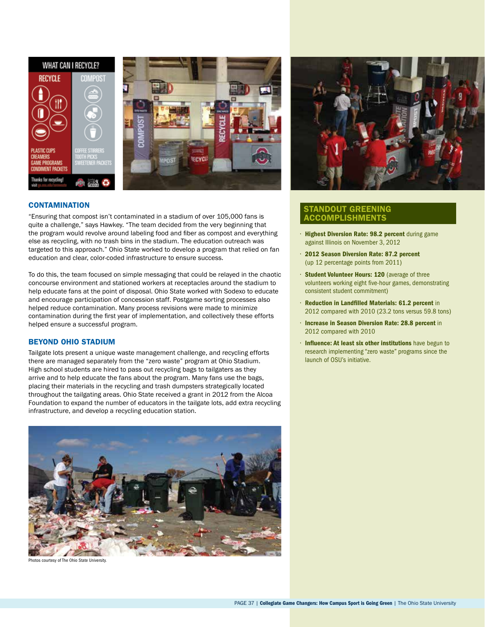



## **CONTAMINATION**

"Ensuring that compost isn't contaminated in a stadium of over 105,000 fans is quite a challenge," says Hawkey. "The team decided from the very beginning that the program would revolve around labeling food and fiber as compost and everything else as recycling, with no trash bins in the stadium. The education outreach was targeted to this approach." Ohio State worked to develop a program that relied on fan education and clear, color-coded infrastructure to ensure success.

To do this, the team focused on simple messaging that could be relayed in the chaotic concourse environment and stationed workers at receptacles around the stadium to help educate fans at the point of disposal. Ohio State worked with Sodexo to educate and encourage participation of concession staff. Postgame sorting processes also helped reduce contamination. Many process revisions were made to minimize contamination during the first year of implementation, and collectively these efforts helped ensure a successful program.

## Beyond Ohio Stadium

Tailgate lots present a unique waste management challenge, and recycling efforts there are managed separately from the "zero waste" program at Ohio Stadium. High school students are hired to pass out recycling bags to tailgaters as they arrive and to help educate the fans about the program. Many fans use the bags, placing their materials in the recycling and trash dumpsters strategically located throughout the tailgating areas. Ohio State received a grant in 2012 from the Alcoa Foundation to expand the number of educators in the tailgate lots, add extra recycling infrastructure, and develop a recycling education station.



os courtesy of The Ohio State University



## Standout Greening **CCOMPLISHMENTS**

- Highest Diversion Rate: 98.2 percent during game against Illinois on November 3, 2012
- • 2012 Season Diversion Rate: 87.2 percent (up 12 percentage points from 2011)
- Student Volunteer Hours: 120 (average of three volunteers working eight five-hour games, demonstrating consistent student commitment)
- • Reduction in Landfilled Materials: 61.2 percent in 2012 compared with 2010 (23.2 tons versus 59.8 tons)
- • Increase in Season Diversion Rate: 28.8 percent in 2012 compared with 2010
- • Influence: At least six other institutions have begun to research implementing "zero waste" programs since the launch of OSU's initiative.